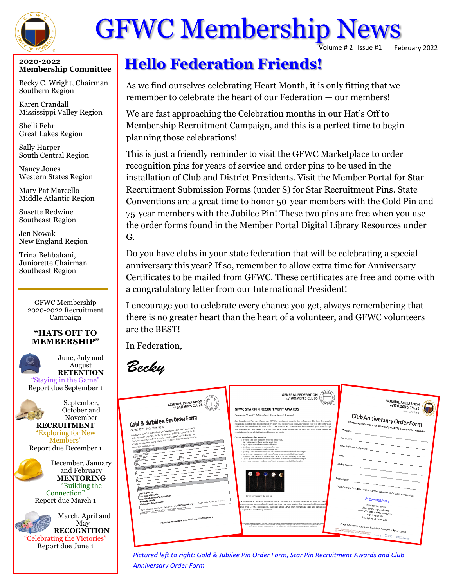

# GFWC Membership News

olume # 2 Issue #1 February 2022

#### **2020-2022 Membership Committee**

Becky C. Wright, Chairman Southern Region

Karen Crandall Mississippi Valley Region

Shelli Fehr Great Lakes Region

Sally Harper South Central Region

Nancy Jones Western States Region

Mary Pat Marcello Middle Atlantic Region

Susette Redwine Southeast Region

Jen Nowak New England Region

Trina Behbahani, Juniorette Chairman Southeast Region

> GFWC Membership 2020-2022 Recruitment Campaign

#### **"HATS OFF TO MEMBERSHIP"**



August **RETENTION** "Staying in the Game" Report due September 1

June, July and

September, October and



November **RECRUITMENT** "Exploring for New Members"

Report due December 1

December, January and February **MENTORING** "Building the Connection" Report due March 1

March, April and May **RECOGNITION** "Celebrating the Victories" Report due June 1

# **Hello Federation Friends!**

As we find ourselves celebrating Heart Month, it is only fitting that we remember to celebrate the heart of our Federation — our members!

We are fast approaching the Celebration months in our Hat's Off to Membership Recruitment Campaign, and this is a perfect time to begin planning those celebrations!

This is just a friendly reminder to visit the GFWC Marketplace to order recognition pins for years of service and order pins to be used in the installation of Club and District Presidents. Visit the Member Portal for Star Recruitment Submission Forms (under S) for Star Recruitment Pins. State Conventions are a great time to honor 50-year members with the Gold Pin and 75-year members with the Jubilee Pin! These two pins are free when you use the order forms found in the Member Portal Digital Library Resources under G.

Do you have clubs in your state federation that will be celebrating a special anniversary this year? If so, remember to allow extra time for Anniversary Certificates to be mailed from GFWC. These certificates are free and come with a congratulatory letter from our International President!

I encourage you to celebrate every chance you get, always remembering that there is no greater heart than the heart of a volunteer, and GFWC volunteers are the BEST!

In Federation,



*Pictured left to right: Gold & Jubilee Pin Order Form, Star Pin Recruitment Awards and Club Anniversary Order Form*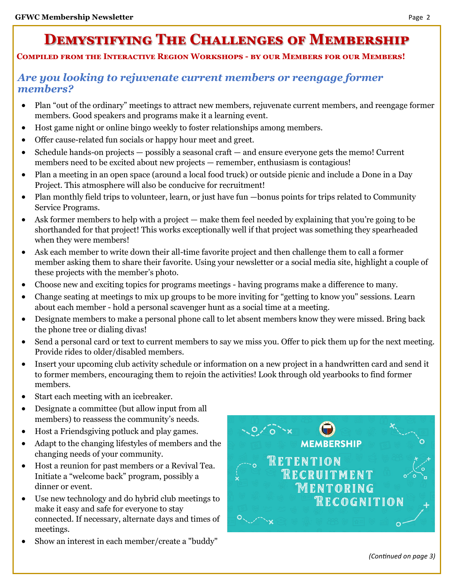## **Demystifying The Challenges of Membership**

#### **Compiled from the Interactive Region Workshops - by our Members for our Members!**

### *Are you looking to rejuvenate current members or reengage former members?*

- Plan "out of the ordinary" meetings to attract new members, rejuvenate current members, and reengage former members. Good speakers and programs make it a learning event.
- Host game night or online bingo weekly to foster relationships among members.
- Offer cause-related fun socials or happy hour meet and greet.
- Schedule hands-on projects possibly a seasonal craft and ensure everyone gets the memo! Current members need to be excited about new projects — remember, enthusiasm is contagious!
- Plan a meeting in an open space (around a local food truck) or outside picnic and include a Done in a Day Project. This atmosphere will also be conducive for recruitment!
- Plan monthly field trips to volunteer, learn, or just have fun —bonus points for trips related to Community Service Programs.
- Ask former members to help with a project make them feel needed by explaining that you're going to be shorthanded for that project! This works exceptionally well if that project was something they spearheaded when they were members!
- Ask each member to write down their all-time favorite project and then challenge them to call a former member asking them to share their favorite. Using your newsletter or a social media site, highlight a couple of these projects with the member's photo.
- Choose new and exciting topics for programs meetings having programs make a difference to many.
- Change seating at meetings to mix up groups to be more inviting for "getting to know you" sessions. Learn about each member - hold a personal scavenger hunt as a social time at a meeting.
- Designate members to make a personal phone call to let absent members know they were missed. Bring back the phone tree or dialing divas!
- Send a personal card or text to current members to say we miss you. Offer to pick them up for the next meeting. Provide rides to older/disabled members.
- Insert your upcoming club activity schedule or information on a new project in a handwritten card and send it to former members, encouraging them to rejoin the activities! Look through old yearbooks to find former members.
- Start each meeting with an icebreaker.
- Designate a committee (but allow input from all members) to reassess the community's needs.
- Host a Friendsgiving potluck and play games.
- Adapt to the changing lifestyles of members and the changing needs of your community.
- Host a reunion for past members or a Revival Tea. Initiate a "welcome back" program, possibly a dinner or event.
- Use new technology and do hybrid club meetings to make it easy and safe for everyone to stay connected. If necessary, alternate days and times of meetings.
- Show an interest in each member/create a "buddy"



*(Continued on page 3)*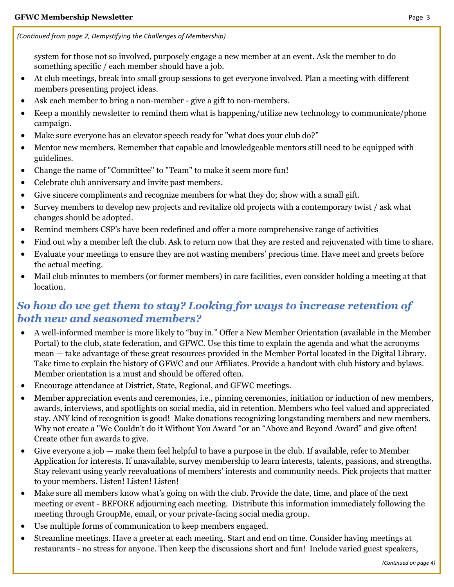system for those not so involved, purposely engage a new member at an event. Ask the member to do something specific / each member should have a job.

- At club meetings, break into small group sessions to get everyone involved. Plan a meeting with different members presenting project ideas.
- Ask each member to bring a non-member give a gift to non-members.
- Keep a monthly newsletter to remind them what is happening/utilize new technology to communicate/phone campaign.
- Make sure everyone has an elevator speech ready for "what does your club do?"
- Mentor new members. Remember that capable and knowledgeable mentors still need to be equipped with guidelines.
- Change the name of "Committee" to "Team" to make it seem more fun!
- Celebrate club anniversary and invite past members.
- Give sincere compliments and recognize members for what they do; show with a small gift.
- Survey members to develop new projects and revitalize old projects with a contemporary twist / ask what changes should be adopted.
- Remind members CSP's have been redefined and offer a more comprehensive range of activities
- Find out why a member left the club. Ask to return now that they are rested and rejuvenated with time to share.
- Evaluate your meetings to ensure they are not wasting members' precious time. Have meet and greets before the actual meeting.
- Mail club minutes to members (or former members) in care facilities, even consider holding a meeting at that location.

## *So how do we get them to stay? Looking for ways to increase retention of both new and seasoned members?*

- A well-informed member is more likely to "buy in." Offer a New Member Orientation (available in the Member Portal) to the club, state federation, and GFWC. Use this time to explain the agenda and what the acronyms mean — take advantage of these great resources provided in the Member Portal located in the Digital Library. Take time to explain the history of GFWC and our Affiliates. Provide a handout with club history and bylaws. Member orientation is a must and should be offered often.
- Encourage attendance at District, State, Regional, and GFWC meetings.
- Member appreciation events and ceremonies, i.e., pinning ceremonies, initiation or induction of new members, awards, interviews, and spotlights on social media, aid in retention. Members who feel valued and appreciated stay. ANY kind of recognition is good! Make donations recognizing longstanding members and new members. Why not create a "We Couldn't do it Without You Award "or an "Above and Beyond Award" and give often! Create other fun awards to give.
- Give everyone a job make them feel helpful to have a purpose in the club. If available, refer to Member Application for interests. If unavailable, survey membership to learn interests, talents, passions, and strengths. Stay relevant using yearly reevaluations of members' interests and community needs. Pick projects that matter to your members. Listen! Listen! Listen!
- Make sure all members know what's going on with the club. Provide the date, time, and place of the next meeting or event - BEFORE adjourning each meeting. Distribute this information immediately following the meeting through GroupMe, email, or your private-facing social media group.
- Use multiple forms of communication to keep members engaged.
- Streamline meetings. Have a greeter at each meeting. Start and end on time. Consider having meetings at restaurants - no stress for anyone. Then keep the discussions short and fun! Include varied guest speakers,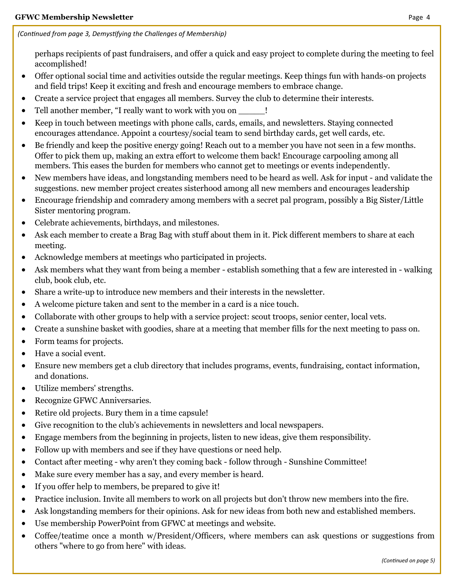*(Continued from page 3, Demystifying the Challenges of Membership)*

perhaps recipients of past fundraisers, and offer a quick and easy project to complete during the meeting to feel accomplished!

- Offer optional social time and activities outside the regular meetings. Keep things fun with hands-on projects and field trips! Keep it exciting and fresh and encourage members to embrace change.
- Create a service project that engages all members. Survey the club to determine their interests.
- Tell another member, "I really want to work with you on  $\qquad$ !
- Keep in touch between meetings with phone calls, cards, emails, and newsletters. Staying connected encourages attendance. Appoint a courtesy/social team to send birthday cards, get well cards, etc.
- Be friendly and keep the positive energy going! Reach out to a member you have not seen in a few months. Offer to pick them up, making an extra effort to welcome them back! Encourage carpooling among all members. This eases the burden for members who cannot get to meetings or events independently.
- New members have ideas, and longstanding members need to be heard as well. Ask for input and validate the suggestions. new member project creates sisterhood among all new members and encourages leadership
- Encourage friendship and comradery among members with a secret pal program, possibly a Big Sister/Little Sister mentoring program.
- Celebrate achievements, birthdays, and milestones.
- Ask each member to create a Brag Bag with stuff about them in it. Pick different members to share at each meeting.
- Acknowledge members at meetings who participated in projects.
- Ask members what they want from being a member establish something that a few are interested in walking club, book club, etc.
- Share a write-up to introduce new members and their interests in the newsletter.
- A welcome picture taken and sent to the member in a card is a nice touch.
- Collaborate with other groups to help with a service project: scout troops, senior center, local vets.
- Create a sunshine basket with goodies, share at a meeting that member fills for the next meeting to pass on.
- Form teams for projects.
- Have a social event.
- Ensure new members get a club directory that includes programs, events, fundraising, contact information, and donations.
- Utilize members' strengths.
- Recognize GFWC Anniversaries.
- Retire old projects. Bury them in a time capsule!
- Give recognition to the club's achievements in newsletters and local newspapers.
- Engage members from the beginning in projects, listen to new ideas, give them responsibility.
- Follow up with members and see if they have questions or need help.
- Contact after meeting why aren't they coming back follow through Sunshine Committee!
- Make sure every member has a say, and every member is heard.
- If you offer help to members, be prepared to give it!
- Practice inclusion. Invite all members to work on all projects but don't throw new members into the fire.
- Ask longstanding members for their opinions. Ask for new ideas from both new and established members.
- Use membership PowerPoint from GFWC at meetings and website.
- Coffee/teatime once a month w/President/Officers, where members can ask questions or suggestions from others "where to go from here" with ideas.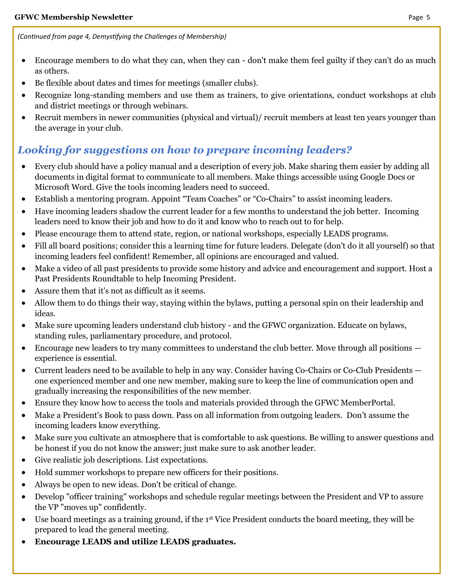*(Continued from page 4, Demystifying the Challenges of Membership)*

- Encourage members to do what they can, when they can don't make them feel guilty if they can't do as much as others.
- Be flexible about dates and times for meetings (smaller clubs).
- Recognize long-standing members and use them as trainers, to give orientations, conduct workshops at club and district meetings or through webinars.
- Recruit members in newer communities (physical and virtual)/ recruit members at least ten years younger than the average in your club.

## *Looking for suggestions on how to prepare incoming leaders?*

- Every club should have a policy manual and a description of every job. Make sharing them easier by adding all documents in digital format to communicate to all members. Make things accessible using Google Docs or Microsoft Word. Give the tools incoming leaders need to succeed.
- Establish a mentoring program. Appoint "Team Coaches" or "Co-Chairs" to assist incoming leaders.
- Have incoming leaders shadow the current leader for a few months to understand the job better. Incoming leaders need to know their job and how to do it and know who to reach out to for help.
- Please encourage them to attend state, region, or national workshops, especially LEADS programs.
- Fill all board positions; consider this a learning time for future leaders. Delegate (don't do it all yourself) so that incoming leaders feel confident! Remember, all opinions are encouraged and valued.
- Make a video of all past presidents to provide some history and advice and encouragement and support. Host a Past Presidents Roundtable to help Incoming President.
- Assure them that it's not as difficult as it seems.
- Allow them to do things their way, staying within the bylaws, putting a personal spin on their leadership and ideas.
- Make sure upcoming leaders understand club history and the GFWC organization. Educate on bylaws, standing rules, parliamentary procedure, and protocol.
- Encourage new leaders to try many committees to understand the club better. Move through all positions experience is essential.
- Current leaders need to be available to help in any way. Consider having Co-Chairs or Co-Club Presidents one experienced member and one new member, making sure to keep the line of communication open and gradually increasing the responsibilities of the new member.
- Ensure they know how to access the tools and materials provided through the GFWC MemberPortal.
- Make a President's Book to pass down. Pass on all information from outgoing leaders. Don't assume the incoming leaders know everything.
- Make sure you cultivate an atmosphere that is comfortable to ask questions. Be willing to answer questions and be honest if you do not know the answer; just make sure to ask another leader.
- Give realistic job descriptions. List expectations.
- Hold summer workshops to prepare new officers for their positions.
- Always be open to new ideas. Don't be critical of change.
- Develop "officer training" workshops and schedule regular meetings between the President and VP to assure the VP "moves up" confidently.
- Use board meetings as a training ground, if the 1st Vice President conducts the board meeting, they will be prepared to lead the general meeting.
- **Encourage LEADS and utilize LEADS graduates.**